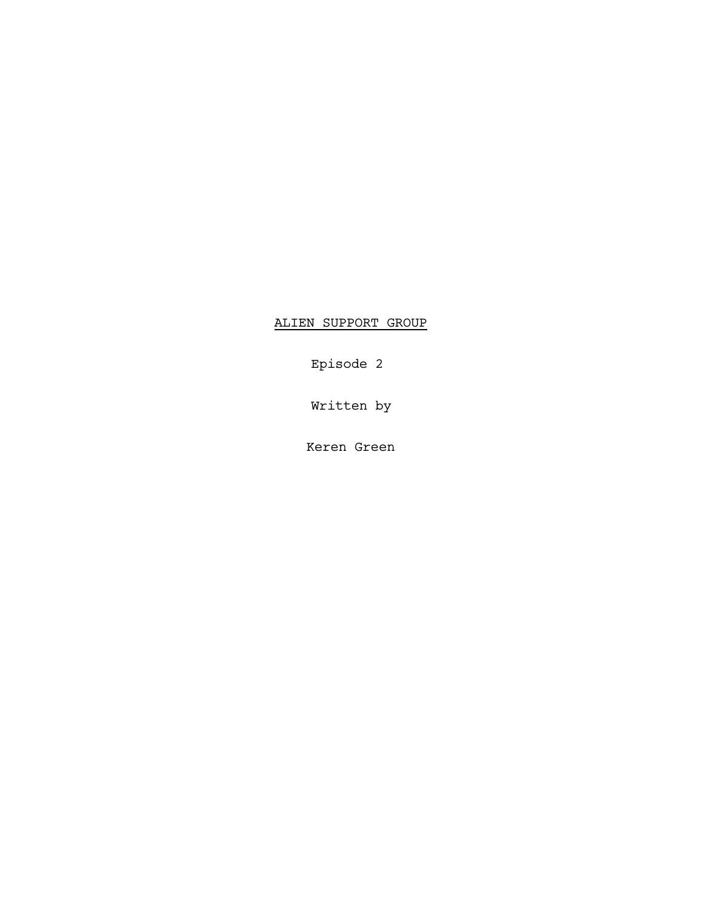ALIEN SUPPORT GROUP

Episode 2

Written by

Keren Green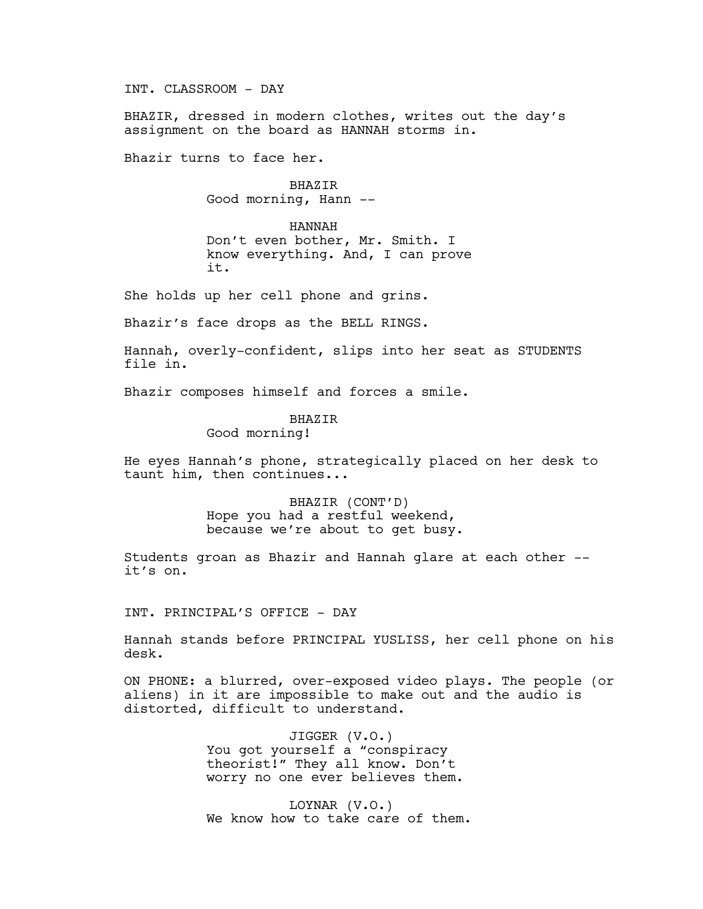INT. CLASSROOM - DAY

BHAZIR, dressed in modern clothes, writes out the day's assignment on the board as HANNAH storms in.

Bhazir turns to face her.

BHAZIR Good morning, Hann --

HANNAH Don't even bother, Mr. Smith. I know everything. And, I can prove it.

She holds up her cell phone and grins.

Bhazir's face drops as the BELL RINGS.

Hannah, overly-confident, slips into her seat as STUDENTS file in.

Bhazir composes himself and forces a smile.

# BHAZIR

Good morning!

He eyes Hannah's phone, strategically placed on her desk to taunt him, then continues...

> BHAZIR (CONT'D) Hope you had a restful weekend, because we're about to get busy.

Students groan as Bhazir and Hannah glare at each other - it's on.

INT. PRINCIPAL'S OFFICE - DAY

Hannah stands before PRINCIPAL YUSLISS, her cell phone on his desk.

ON PHONE: a blurred, over-exposed video plays. The people (or aliens) in it are impossible to make out and the audio is distorted, difficult to understand.

> JIGGER (V.O.) You got yourself a "conspiracy theorist!" They all know. Don't worry no one ever believes them.

LOYNAR (V.O.) We know how to take care of them.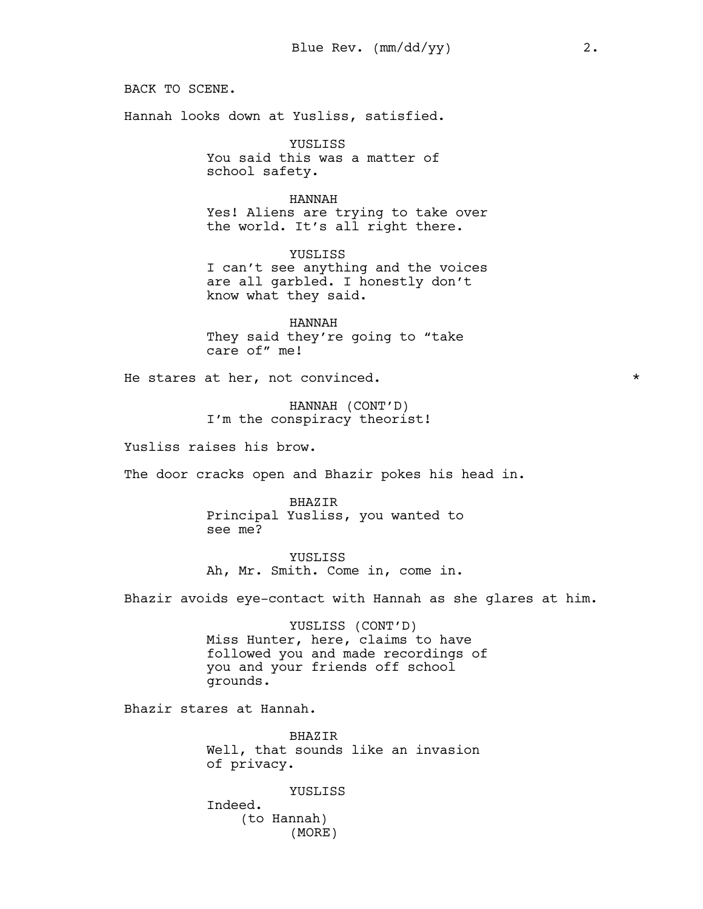BACK TO SCENE.

Hannah looks down at Yusliss, satisfied.

know what they said.

YUSLISS You said this was a matter of school safety.

HANNAH Yes! Aliens are trying to take over the world. It's all right there.

YUSLISS I can't see anything and the voices are all garbled. I honestly don't

HANNAH They said they're going to "take care of" me!

He stares at her, not convinced.  $*$ 

HANNAH (CONT'D) I'm the conspiracy theorist!

Yusliss raises his brow.

The door cracks open and Bhazir pokes his head in.

BHAZIR Principal Yusliss, you wanted to see me?

YUSLISS Ah, Mr. Smith. Come in, come in.

Bhazir avoids eye-contact with Hannah as she glares at him.

YUSLISS (CONT'D) Miss Hunter, here, claims to have followed you and made recordings of you and your friends off school grounds.

Bhazir stares at Hannah.

BHAZIR Well, that sounds like an invasion of privacy.

YUSLISS

Indeed. (to Hannah) (MORE)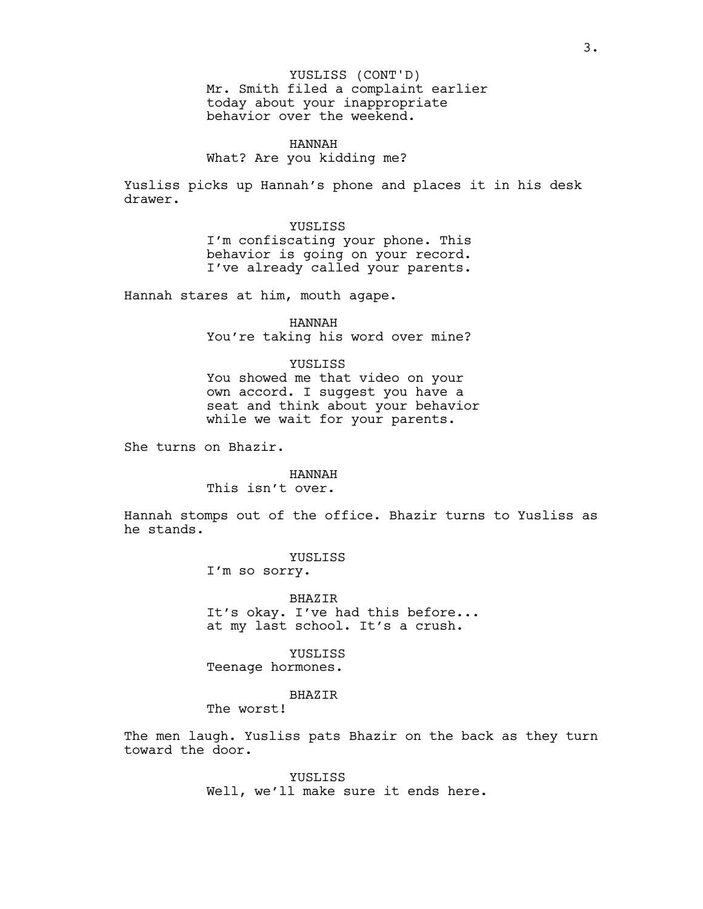Mr. Smith filed a complaint earlier today about your inappropriate behavior over the weekend. YUSLISS (CONT'D)

HANNAH What? Are you kidding me?

Yusliss picks up Hannah's phone and places it in his desk drawer.

> YUSLISS I'm confiscating your phone. This behavior is going on your record. I've already called your parents.

Hannah stares at him, mouth agape.

HANNAH You're taking his word over mine?

### YUSLISS You showed me that video on your

own accord. I suggest you have a seat and think about your behavior while we wait for your parents.

She turns on Bhazir.

#### HANNAH

This isn't over.

Hannah stomps out of the office. Bhazir turns to Yusliss as he stands.

YUSLISS

I'm so sorry.

BHAZIR It's okay. I've had this before... at my last school. It's a crush.

YUSLISS Teenage hormones.

#### BHAZIR

The worst!

The men laugh. Yusliss pats Bhazir on the back as they turn toward the door.

> YUSLISS Well, we'll make sure it ends here.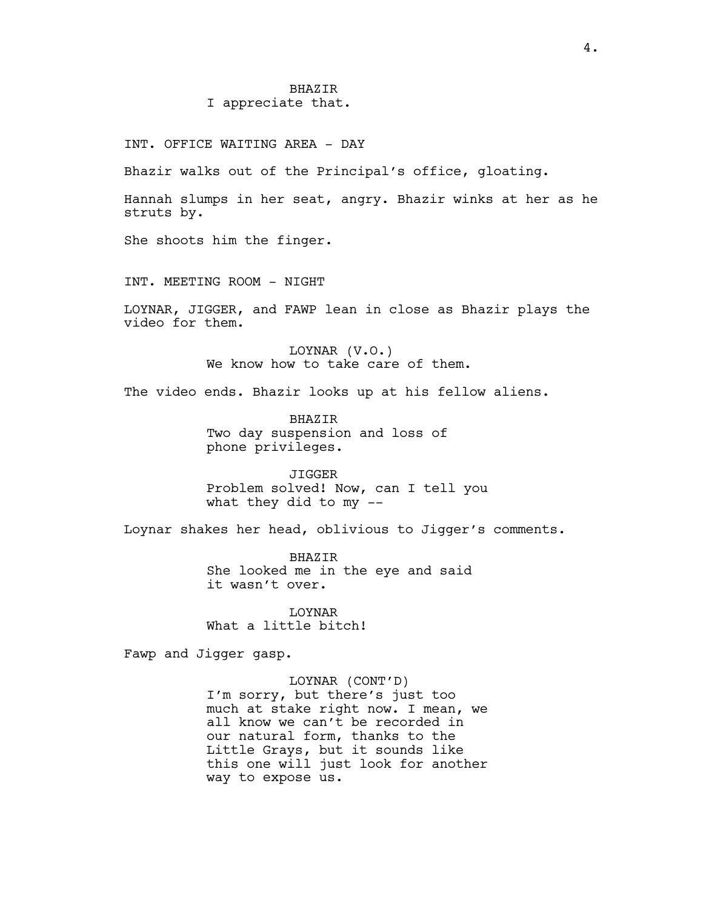#### BHAZIR

#### I appreciate that.

INT. OFFICE WAITING AREA - DAY

Bhazir walks out of the Principal's office, gloating.

Hannah slumps in her seat, angry. Bhazir winks at her as he struts by.

She shoots him the finger.

INT. MEETING ROOM - NIGHT

LOYNAR, JIGGER, and FAWP lean in close as Bhazir plays the video for them.

> LOYNAR (V.O.) We know how to take care of them.

The video ends. Bhazir looks up at his fellow aliens.

BHAZIR Two day suspension and loss of phone privileges.

JIGGER Problem solved! Now, can I tell you what they did to my --

Loynar shakes her head, oblivious to Jigger's comments.

BHAZIR She looked me in the eye and said it wasn't over.

LOYNAR What a little bitch!

Fawp and Jigger gasp.

LOYNAR (CONT'D) I'm sorry, but there's just too much at stake right now. I mean, we all know we can't be recorded in our natural form, thanks to the Little Grays, but it sounds like this one will just look for another way to expose us.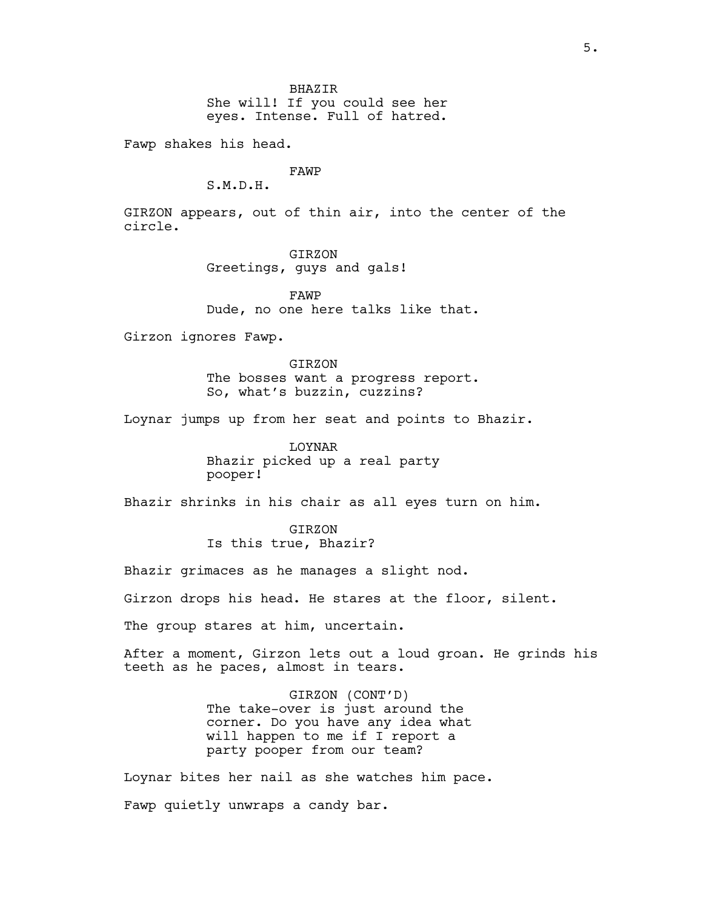She will! If you could see her eyes. Intense. Full of hatred.

Fawp shakes his head.

## FAWP

S.M.D.H.

GIRZON appears, out of thin air, into the center of the circle.

> GIRZON Greetings, guys and gals!

FAWP Dude, no one here talks like that.

Girzon ignores Fawp.

GIRZON The bosses want a progress report. So, what's buzzin, cuzzins?

Loynar jumps up from her seat and points to Bhazir.

LOYNAR Bhazir picked up a real party pooper!

Bhazir shrinks in his chair as all eyes turn on him.

GIRZON Is this true, Bhazir?

Bhazir grimaces as he manages a slight nod.

Girzon drops his head. He stares at the floor, silent.

The group stares at him, uncertain.

After a moment, Girzon lets out a loud groan. He grinds his teeth as he paces, almost in tears.

> GIRZON (CONT'D) The take-over is just around the corner. Do you have any idea what will happen to me if I report a party pooper from our team?

Loynar bites her nail as she watches him pace. Fawp quietly unwraps a candy bar.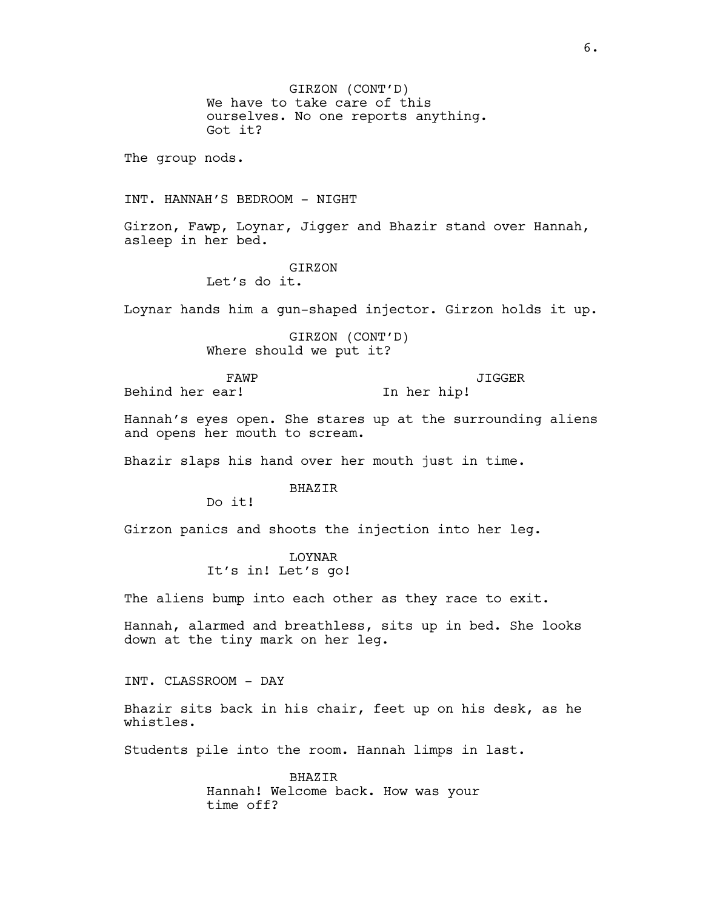GIRZON (CONT'D) We have to take care of this ourselves. No one reports anything. Got it? The group nods. INT. HANNAH'S BEDROOM - NIGHT Girzon, Fawp, Loynar, Jigger and Bhazir stand over Hannah, asleep in her bed. GIRZON Let's do it. Loynar hands him a gun-shaped injector. Girzon holds it up. GIRZON (CONT'D) Where should we put it? FAWP Behind her ear! JIGGER In her hip! Hannah's eyes open. She stares up at the surrounding aliens and opens her mouth to scream. Bhazir slaps his hand over her mouth just in time. BHAZIR Do it! Girzon panics and shoots the injection into her leg. LOYNAR It's in! Let's go! The aliens bump into each other as they race to exit. Hannah, alarmed and breathless, sits up in bed. She looks down at the tiny mark on her leg. INT. CLASSROOM - DAY Bhazir sits back in his chair, feet up on his desk, as he whistles. Students pile into the room. Hannah limps in last. BHAZIR Hannah! Welcome back. How was your time off?

6.